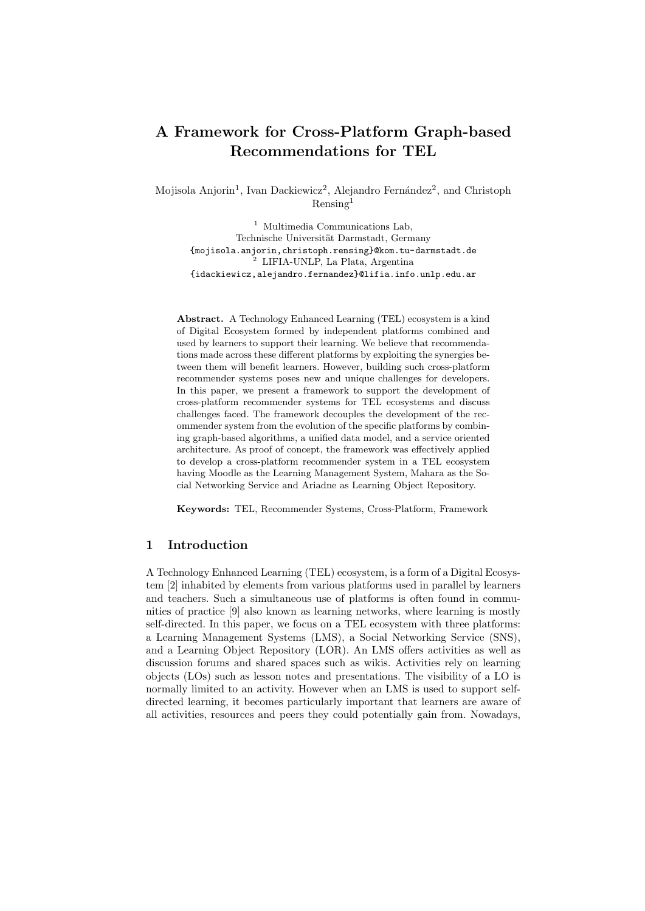# A Framework for Cross-Platform Graph-based Recommendations for TEL

Mojisola Anjorin<sup>1</sup>, Ivan Dackiewicz<sup>2</sup>, Alejandro Fernández<sup>2</sup>, and Christoph  $Rensine<sup>1</sup>$ 

 $<sup>1</sup>$  Multimedia Communications Lab,</sup> Technische Universität Darmstadt, Germany {mojisola.anjorin,christoph.rensing}@kom.tu-darmstadt.de <sup>2</sup> LIFIA-UNLP, La Plata, Argentina {idackiewicz,alejandro.fernandez}@lifia.info.unlp.edu.ar

Abstract. A Technology Enhanced Learning (TEL) ecosystem is a kind of Digital Ecosystem formed by independent platforms combined and used by learners to support their learning. We believe that recommendations made across these different platforms by exploiting the synergies between them will benefit learners. However, building such cross-platform recommender systems poses new and unique challenges for developers. In this paper, we present a framework to support the development of cross-platform recommender systems for TEL ecosystems and discuss challenges faced. The framework decouples the development of the recommender system from the evolution of the specific platforms by combining graph-based algorithms, a unified data model, and a service oriented architecture. As proof of concept, the framework was effectively applied to develop a cross-platform recommender system in a TEL ecosystem having Moodle as the Learning Management System, Mahara as the Social Networking Service and Ariadne as Learning Object Repository.

Keywords: TEL, Recommender Systems, Cross-Platform, Framework

## 1 Introduction

A Technology Enhanced Learning (TEL) ecosystem, is a form of a Digital Ecosystem [2] inhabited by elements from various platforms used in parallel by learners and teachers. Such a simultaneous use of platforms is often found in communities of practice [9] also known as learning networks, where learning is mostly self-directed. In this paper, we focus on a TEL ecosystem with three platforms: a Learning Management Systems (LMS), a Social Networking Service (SNS), and a Learning Object Repository (LOR). An LMS offers activities as well as discussion forums and shared spaces such as wikis. Activities rely on learning objects (LOs) such as lesson notes and presentations. The visibility of a LO is normally limited to an activity. However when an LMS is used to support selfdirected learning, it becomes particularly important that learners are aware of all activities, resources and peers they could potentially gain from. Nowadays,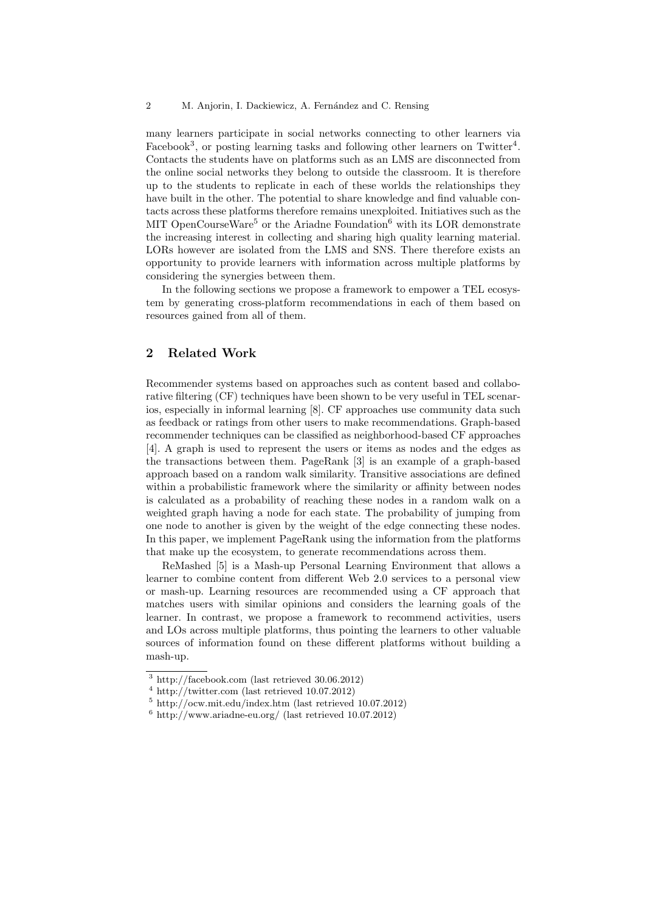many learners participate in social networks connecting to other learners via Facebook<sup>3</sup>, or posting learning tasks and following other learners on Twitter<sup>4</sup>. Contacts the students have on platforms such as an LMS are disconnected from the online social networks they belong to outside the classroom. It is therefore up to the students to replicate in each of these worlds the relationships they have built in the other. The potential to share knowledge and find valuable contacts across these platforms therefore remains unexploited. Initiatives such as the MIT OpenCourseWare<sup>5</sup> or the Ariadne Foundation<sup>6</sup> with its LOR demonstrate the increasing interest in collecting and sharing high quality learning material. LORs however are isolated from the LMS and SNS. There therefore exists an opportunity to provide learners with information across multiple platforms by considering the synergies between them.

In the following sections we propose a framework to empower a TEL ecosystem by generating cross-platform recommendations in each of them based on resources gained from all of them.

# 2 Related Work

Recommender systems based on approaches such as content based and collaborative filtering (CF) techniques have been shown to be very useful in TEL scenarios, especially in informal learning [8]. CF approaches use community data such as feedback or ratings from other users to make recommendations. Graph-based recommender techniques can be classified as neighborhood-based CF approaches [4]. A graph is used to represent the users or items as nodes and the edges as the transactions between them. PageRank [3] is an example of a graph-based approach based on a random walk similarity. Transitive associations are defined within a probabilistic framework where the similarity or affinity between nodes is calculated as a probability of reaching these nodes in a random walk on a weighted graph having a node for each state. The probability of jumping from one node to another is given by the weight of the edge connecting these nodes. In this paper, we implement PageRank using the information from the platforms that make up the ecosystem, to generate recommendations across them.

ReMashed [5] is a Mash-up Personal Learning Environment that allows a learner to combine content from different Web 2.0 services to a personal view or mash-up. Learning resources are recommended using a CF approach that matches users with similar opinions and considers the learning goals of the learner. In contrast, we propose a framework to recommend activities, users and LOs across multiple platforms, thus pointing the learners to other valuable sources of information found on these different platforms without building a mash-up.

<sup>3</sup> http://facebook.com (last retrieved 30.06.2012)

<sup>4</sup> http://twitter.com (last retrieved 10.07.2012)

<sup>5</sup> http://ocw.mit.edu/index.htm (last retrieved 10.07.2012)

 $6$  http://www.ariadne-eu.org/ (last retrieved 10.07.2012)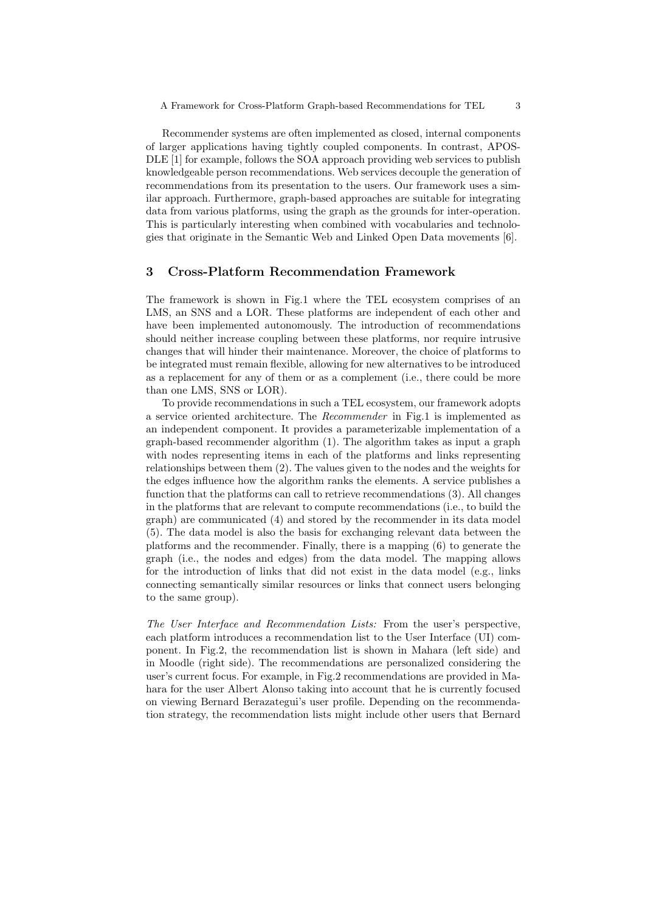Recommender systems are often implemented as closed, internal components of larger applications having tightly coupled components. In contrast, APOS-DLE [1] for example, follows the SOA approach providing web services to publish knowledgeable person recommendations. Web services decouple the generation of recommendations from its presentation to the users. Our framework uses a similar approach. Furthermore, graph-based approaches are suitable for integrating data from various platforms, using the graph as the grounds for inter-operation. This is particularly interesting when combined with vocabularies and technologies that originate in the Semantic Web and Linked Open Data movements [6].

#### 3 Cross-Platform Recommendation Framework

The framework is shown in Fig.1 where the TEL ecosystem comprises of an LMS, an SNS and a LOR. These platforms are independent of each other and have been implemented autonomously. The introduction of recommendations should neither increase coupling between these platforms, nor require intrusive changes that will hinder their maintenance. Moreover, the choice of platforms to be integrated must remain flexible, allowing for new alternatives to be introduced as a replacement for any of them or as a complement (i.e., there could be more than one LMS, SNS or LOR).

To provide recommendations in such a TEL ecosystem, our framework adopts a service oriented architecture. The Recommender in Fig.1 is implemented as an independent component. It provides a parameterizable implementation of a graph-based recommender algorithm (1). The algorithm takes as input a graph with nodes representing items in each of the platforms and links representing relationships between them (2). The values given to the nodes and the weights for the edges influence how the algorithm ranks the elements. A service publishes a function that the platforms can call to retrieve recommendations (3). All changes in the platforms that are relevant to compute recommendations (i.e., to build the graph) are communicated (4) and stored by the recommender in its data model (5). The data model is also the basis for exchanging relevant data between the platforms and the recommender. Finally, there is a mapping (6) to generate the graph (i.e., the nodes and edges) from the data model. The mapping allows for the introduction of links that did not exist in the data model (e.g., links connecting semantically similar resources or links that connect users belonging to the same group).

The User Interface and Recommendation Lists: From the user's perspective, each platform introduces a recommendation list to the User Interface (UI) component. In Fig.2, the recommendation list is shown in Mahara (left side) and in Moodle (right side). The recommendations are personalized considering the user's current focus. For example, in Fig.2 recommendations are provided in Mahara for the user Albert Alonso taking into account that he is currently focused on viewing Bernard Berazategui's user profile. Depending on the recommendation strategy, the recommendation lists might include other users that Bernard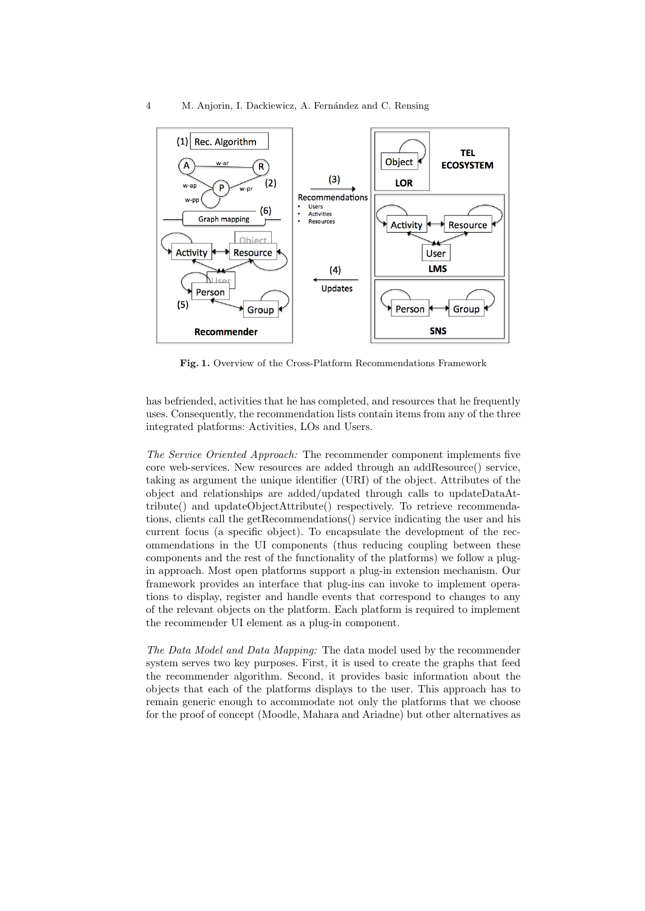

Fig. 1. Overview of the Cross-Platform Recommendations Framework

has befriended, activities that he has completed, and resources that he frequently uses. Consequently, the recommendation lists contain items from any of the three integrated platforms: Activities, LOs and Users.

The Service Oriented Approach: The recommender component implements five core web-services. New resources are added through an addResource() service, taking as argument the unique identifier (URI) of the object. Attributes of the object and relationships are added/updated through calls to updateDataAttribute() and updateObjectAttribute() respectively. To retrieve recommendations, clients call the getRecommendations() service indicating the user and his current focus (a specific object). To encapsulate the development of the recommendations in the UI components (thus reducing coupling between these components and the rest of the functionality of the platforms) we follow a plugin approach. Most open platforms support a plug-in extension mechanism. Our framework provides an interface that plug-ins can invoke to implement operations to display, register and handle events that correspond to changes to any of the relevant objects on the platform. Each platform is required to implement the recommender UI element as a plug-in component.

The Data Model and Data Mapping: The data model used by the recommender system serves two key purposes. First, it is used to create the graphs that feed the recommender algorithm. Second, it provides basic information about the objects that each of the platforms displays to the user. This approach has to remain generic enough to accommodate not only the platforms that we choose for the proof of concept (Moodle, Mahara and Ariadne) but other alternatives as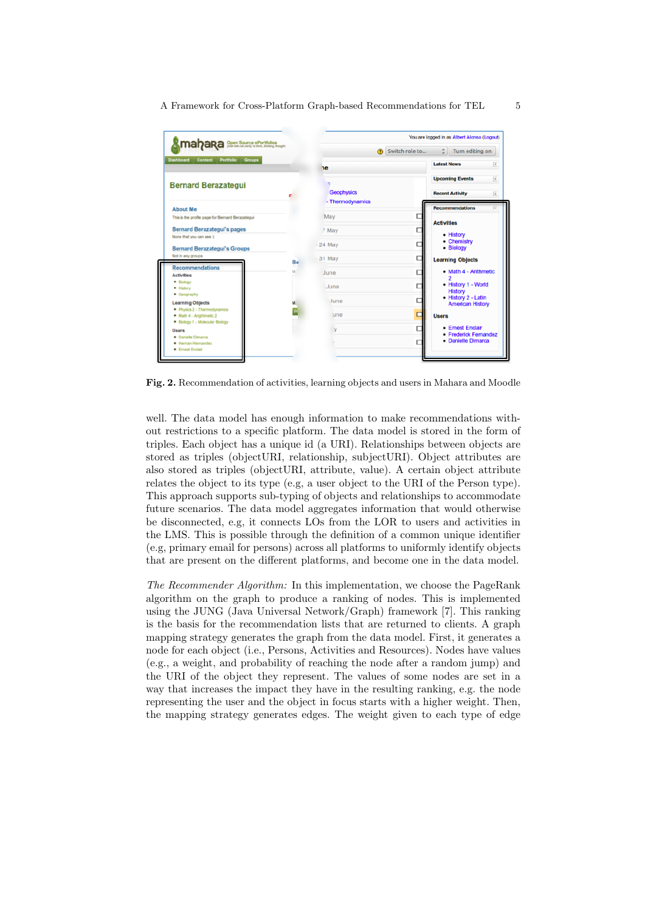

Fig. 2. Recommendation of activities, learning objects and users in Mahara and Moodle

well. The data model has enough information to make recommendations without restrictions to a specific platform. The data model is stored in the form of triples. Each object has a unique id (a URI). Relationships between objects are stored as triples (objectURI, relationship, subjectURI). Object attributes are also stored as triples (objectURI, attribute, value). A certain object attribute relates the object to its type (e.g, a user object to the URI of the Person type). This approach supports sub-typing of objects and relationships to accommodate future scenarios. The data model aggregates information that would otherwise be disconnected, e.g, it connects LOs from the LOR to users and activities in the LMS. This is possible through the definition of a common unique identifier (e.g, primary email for persons) across all platforms to uniformly identify objects that are present on the different platforms, and become one in the data model.

The Recommender Algorithm: In this implementation, we choose the PageRank algorithm on the graph to produce a ranking of nodes. This is implemented using the JUNG (Java Universal Network/Graph) framework [7]. This ranking is the basis for the recommendation lists that are returned to clients. A graph mapping strategy generates the graph from the data model. First, it generates a node for each object (i.e., Persons, Activities and Resources). Nodes have values (e.g., a weight, and probability of reaching the node after a random jump) and the URI of the object they represent. The values of some nodes are set in a way that increases the impact they have in the resulting ranking, e.g. the node representing the user and the object in focus starts with a higher weight. Then, the mapping strategy generates edges. The weight given to each type of edge